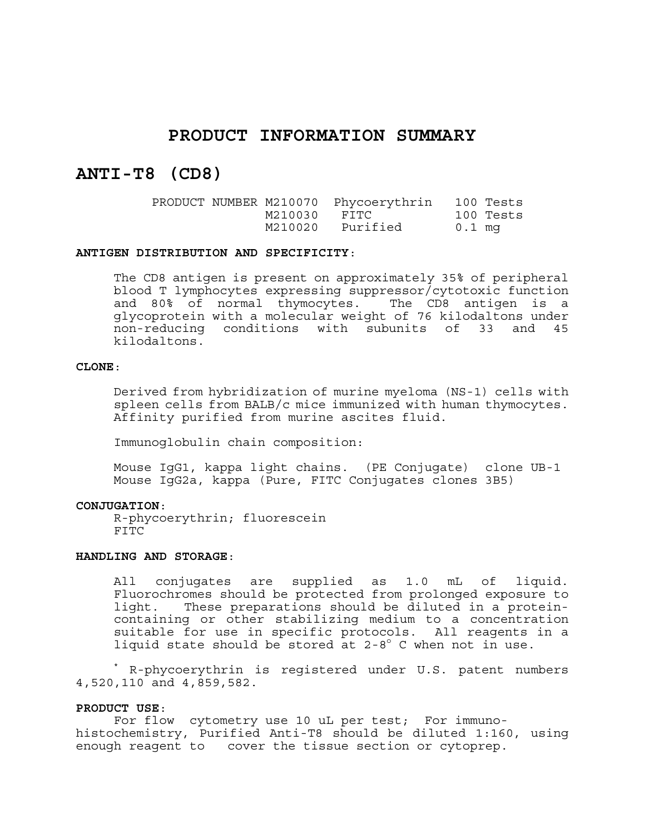# **PRODUCT INFORMATION SUMMARY**

# **ANTI-T8 (CD8)**

|  | PRODUCT NUMBER M210070 | Phycoerythrin |        | 100 Tests |
|--|------------------------|---------------|--------|-----------|
|  | M210030                | FITC          |        | 100 Tests |
|  | M210020                | Purified      | 0.1 mg |           |

#### **ANTIGEN DISTRIBUTION AND SPECIFICITY**:

The CD8 antigen is present on approximately 35% of peripheral blood T lymphocytes expressing suppressor/cytotoxic function and 80% of normal thymocytes. The CD8 antigen is a glycoprotein with a molecular weight of 76 kilodaltons under non-reducing conditions with subunits of 33 and 45 kilodaltons.

### **CLONE**:

Derived from hybridization of murine myeloma (NS-1) cells with spleen cells from BALB/c mice immunized with human thymocytes. Affinity purified from murine ascites fluid.

Immunoglobulin chain composition:

Mouse IgG1, kappa light chains. (PE Conjugate) clone UB-1 Mouse IgG2a, kappa (Pure, FITC Conjugates clones 3B5)

#### **CONJUGATION**:

R-phycoerythrin; fluorescein FITC

#### **HANDLING AND STORAGE**:

All conjugates are supplied as 1.0 mL of liquid. Fluorochromes should be protected from prolonged exposure to light. These preparations should be diluted in a proteincontaining or other stabilizing medium to a concentration suitable for use in specific protocols. All reagents in a liquid state should be stored at  $2-8^{\circ}$  C when not in use.

\* R-phycoerythrin is registered under U.S. patent numbers 4,520,110 and 4,859,582.

#### **PRODUCT USE**:

For flow cytometry use 10 uL per test; For immunohistochemistry, Purified Anti-T8 should be diluted 1:160, using enough reagent to cover the tissue section or cytoprep.